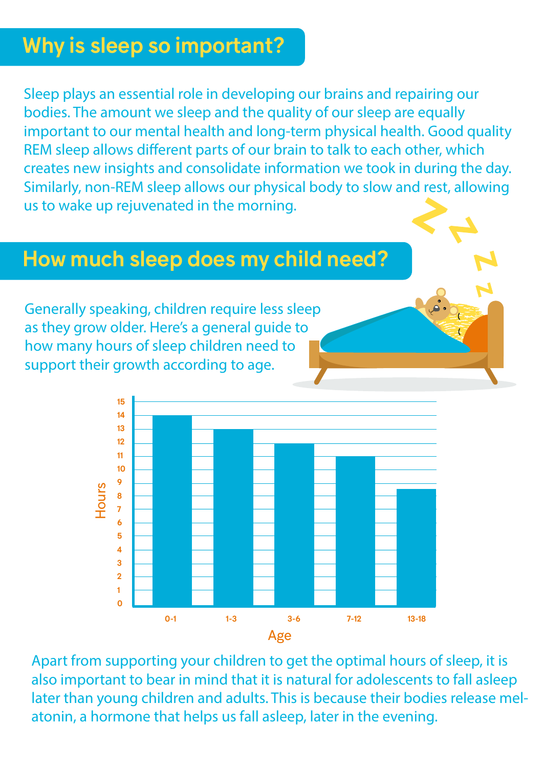## Why is sleep so important?

Sleep plays an essential role in developing our brains and repairing our bodies. The amount we sleep and the quality of our sleep are equally important to our mental health and long-term physical health. Good quality REM sleep allows different parts of our brain to talk to each other, which creates new insights and consolidate information we took in during the day. Similarly, non-REM sleep allows our physical body to slow and rest, allowing us to wake up rejuvenated in the morning.

#### How much sleep does my child need?

Generally speaking, children require less sleep as they grow older. Here's a general guide to how many hours of sleep children need to support their growth according to age.



Apart from supporting your children to get the optimal hours of sleep, it is also important to bear in mind that it is natural for adolescents to fall asleep later than young children and adults. This is because their bodies release melatonin, a hormone that helps us fall asleep, later in the evening.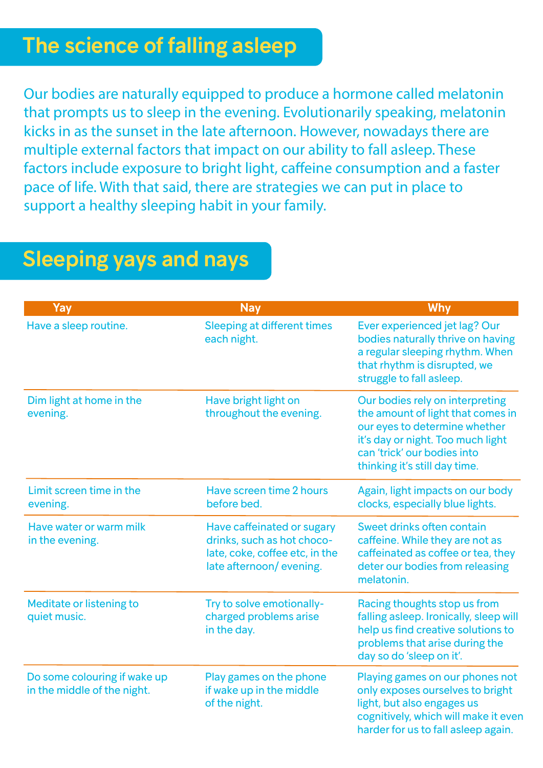#### The science of falling asleep

Our bodies are naturally equipped to produce a hormone called melatonin that prompts us to sleep in the evening. Evolutionarily speaking, melatonin kicks in as the sunset in the late afternoon. However, nowadays there are multiple external factors that impact on our ability to fall asleep. These factors include exposure to bright light, caffeine consumption and a faster pace of life. With that said, there are strategies we can put in place to support a healthy sleeping habit in your family.

| Yay                                                         | <b>Nay</b>                                                                                                            | <b>Why</b>                                                                                                                                                                                                 |
|-------------------------------------------------------------|-----------------------------------------------------------------------------------------------------------------------|------------------------------------------------------------------------------------------------------------------------------------------------------------------------------------------------------------|
| Have a sleep routine.                                       | <b>Sleeping at different times</b><br>each night.                                                                     | Ever experienced jet lag? Our<br>bodies naturally thrive on having<br>a regular sleeping rhythm. When<br>that rhythm is disrupted, we<br>struggle to fall asleep.                                          |
| Dim light at home in the<br>evening.                        | Have bright light on<br>throughout the evening.                                                                       | Our bodies rely on interpreting<br>the amount of light that comes in<br>our eyes to determine whether<br>it's day or night. Too much light<br>can 'trick' our bodies into<br>thinking it's still day time. |
| Limit screen time in the<br>evening.                        | Have screen time 2 hours<br>before bed.                                                                               | Again, light impacts on our body<br>clocks, especially blue lights.                                                                                                                                        |
| Have water or warm milk<br>in the evening.                  | Have caffeinated or sugary<br>drinks, such as hot choco-<br>late, coke, coffee etc, in the<br>late afternoon/evening. | Sweet drinks often contain<br>caffeine. While they are not as<br>caffeinated as coffee or tea, they<br>deter our bodies from releasing<br>melatonin.                                                       |
| Meditate or listening to<br>quiet music.                    | Try to solve emotionally-<br>charged problems arise<br>in the day.                                                    | Racing thoughts stop us from<br>falling asleep. Ironically, sleep will<br>help us find creative solutions to<br>problems that arise during the<br>day so do 'sleep on it'.                                 |
| Do some colouring if wake up<br>in the middle of the night. | Play games on the phone<br>if wake up in the middle<br>of the night.                                                  | Playing games on our phones not<br>only exposes ourselves to bright<br>light, but also engages us<br>cognitively, which will make it even<br>harder for us to fall asleep again.                           |

# Sleeping yays and nays